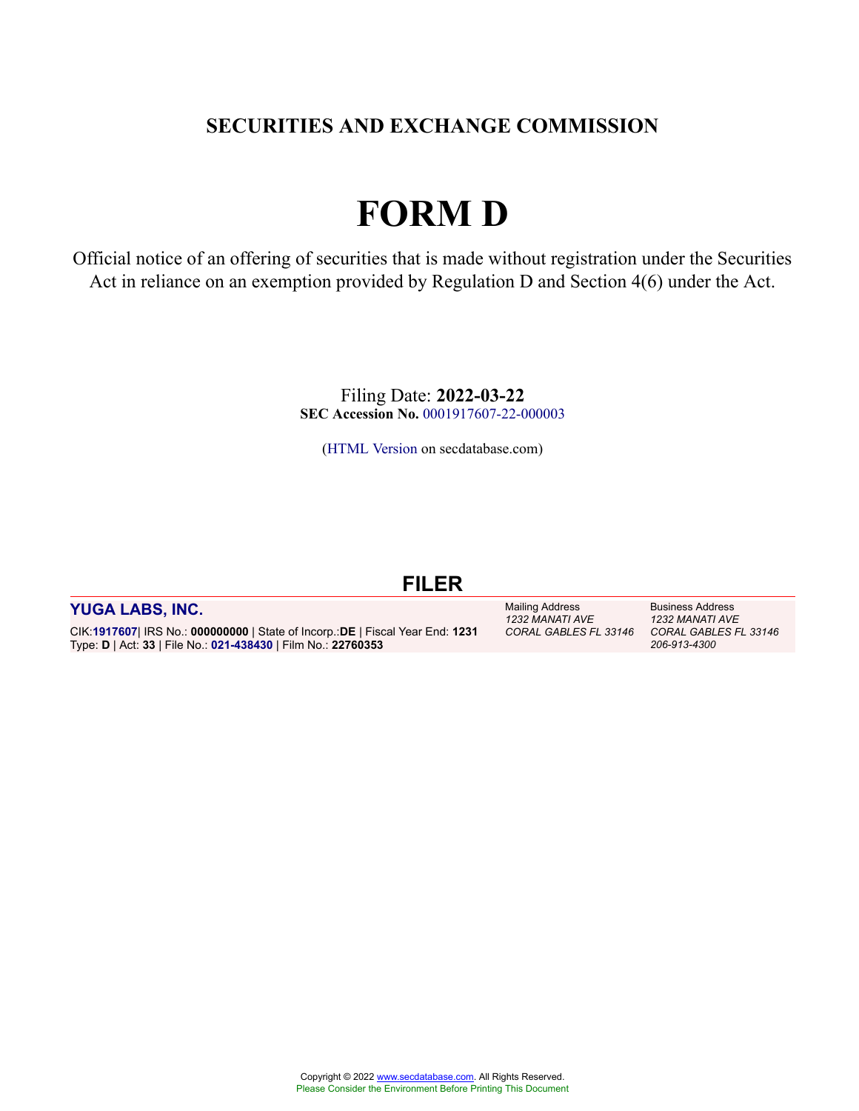# **SECURITIES AND EXCHANGE COMMISSION**

# **FORM D**

Official notice of an offering of securities that is made without registration under the Securities Act in reliance on an exemption provided by Regulation D and Section 4(6) under the Act.

> Filing Date: **2022-03-22 SEC Accession No.** [0001917607-22-000003](http://www.sec.gov/Archives/edgar/data/0001917607/000191760722000003/0001917607-22-000003-index.htm)

[\(HTML Version](http://edgar.secdatabase.com/521/191760722000003/filing-main.htm) on secdatabase.com)

# **FILER**

#### **[YUGA LABS, INC.](https://research.secdatabase.com/CIK/1917607)**

CIK:**[1917607](https://research.secdatabase.com/CIK/1917607)**| IRS No.: **000000000** | State of Incorp.:**DE** | Fiscal Year End: **1231** Type: **D** | Act: **33** | File No.: **[021-438430](https://research.secdatabase.com/FileNumber/21438430)** | Film No.: **22760353**

Mailing Address *1232 MANATI AVE*

Business Address *1232 MANATI AVE CORAL GABLES FL 33146 CORAL GABLES FL 33146 206-913-4300*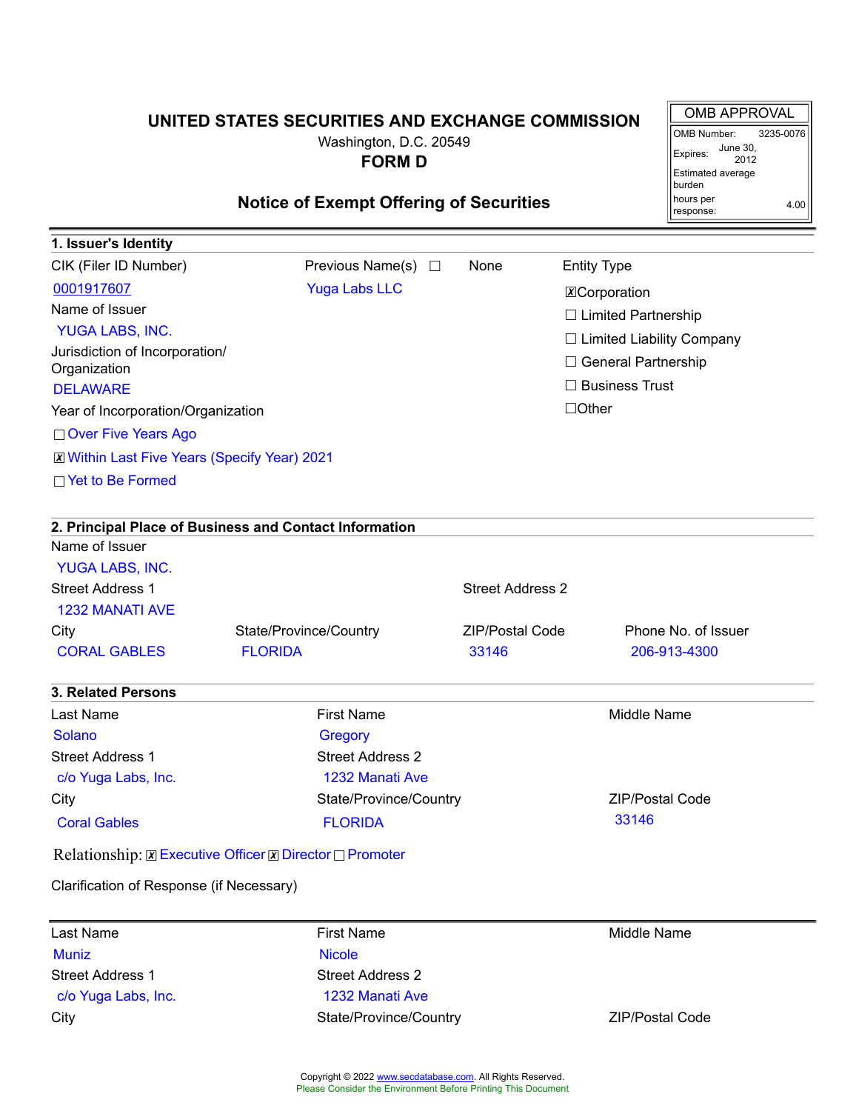# **UNITED STATES SECURITIES AND EXCHANGE COMMISSION**

OMB APPROVAL OMB Number: 3235-0076

2012

4.00

Expires: June 30,

Estimated average burden hours per response:

Washington, D.C. 20549 **FORM D**

# **Notice of Exempt Offering of Securities**

| 1. Issuer's Identity                                                  |                                                        |                         |                                  |  |
|-----------------------------------------------------------------------|--------------------------------------------------------|-------------------------|----------------------------------|--|
| CIK (Filer ID Number)                                                 | Previous Name(s) $\Box$                                | None                    | <b>Entity Type</b>               |  |
| 0001917607                                                            | <b>Yuga Labs LLC</b>                                   |                         | <b>X</b> Corporation             |  |
| Name of Issuer                                                        |                                                        |                         | $\Box$ Limited Partnership       |  |
| YUGA LABS, INC.                                                       |                                                        |                         | $\Box$ Limited Liability Company |  |
| Jurisdiction of Incorporation/<br>Organization                        | □ General Partnership                                  |                         |                                  |  |
| <b>DELAWARE</b>                                                       | $\Box$ Business Trust                                  |                         |                                  |  |
| Year of Incorporation/Organization                                    |                                                        |                         | $\Box$ Other                     |  |
| □ Over Five Years Ago                                                 |                                                        |                         |                                  |  |
| <b>X</b> Within Last Five Years (Specify Year) 2021                   |                                                        |                         |                                  |  |
| □ Yet to Be Formed                                                    |                                                        |                         |                                  |  |
|                                                                       |                                                        |                         |                                  |  |
|                                                                       | 2. Principal Place of Business and Contact Information |                         |                                  |  |
| Name of Issuer                                                        |                                                        |                         |                                  |  |
| YUGA LABS, INC.                                                       |                                                        |                         |                                  |  |
| <b>Street Address 1</b>                                               |                                                        | <b>Street Address 2</b> |                                  |  |
| <b>1232 MANATI AVE</b>                                                |                                                        |                         |                                  |  |
| City                                                                  | State/Province/Country                                 | <b>ZIP/Postal Code</b>  | Phone No. of Issuer              |  |
| <b>CORAL GABLES</b>                                                   | <b>FLORIDA</b>                                         | 33146                   | 206-913-4300                     |  |
| <b>3. Related Persons</b>                                             |                                                        |                         |                                  |  |
| Last Name                                                             | <b>First Name</b>                                      |                         | <b>Middle Name</b>               |  |
| <b>Solano</b>                                                         | Gregory                                                |                         |                                  |  |
| <b>Street Address 1</b>                                               | <b>Street Address 2</b>                                |                         |                                  |  |
| c/o Yuga Labs, Inc.                                                   | 1232 Manati Ave                                        |                         |                                  |  |
| City                                                                  | State/Province/Country                                 |                         | <b>ZIP/Postal Code</b>           |  |
| <b>Coral Gables</b>                                                   | <b>FLORIDA</b>                                         |                         | 33146                            |  |
| Relationship: <b>Z</b> Executive Officer <b>Z</b> Director □ Promoter |                                                        |                         |                                  |  |
| Clarification of Response (if Necessary)                              |                                                        |                         |                                  |  |
| Last Name                                                             | <b>First Name</b>                                      |                         | Middle Name                      |  |
| <b>Muniz</b>                                                          | <b>Nicole</b>                                          |                         |                                  |  |
| <b>Street Address 1</b>                                               | <b>Street Address 2</b>                                |                         |                                  |  |
| c/o Yuga Labs, Inc.                                                   | 1232 Manati Ave                                        |                         |                                  |  |
| City                                                                  | State/Province/Country                                 |                         | <b>ZIP/Postal Code</b>           |  |
|                                                                       |                                                        |                         |                                  |  |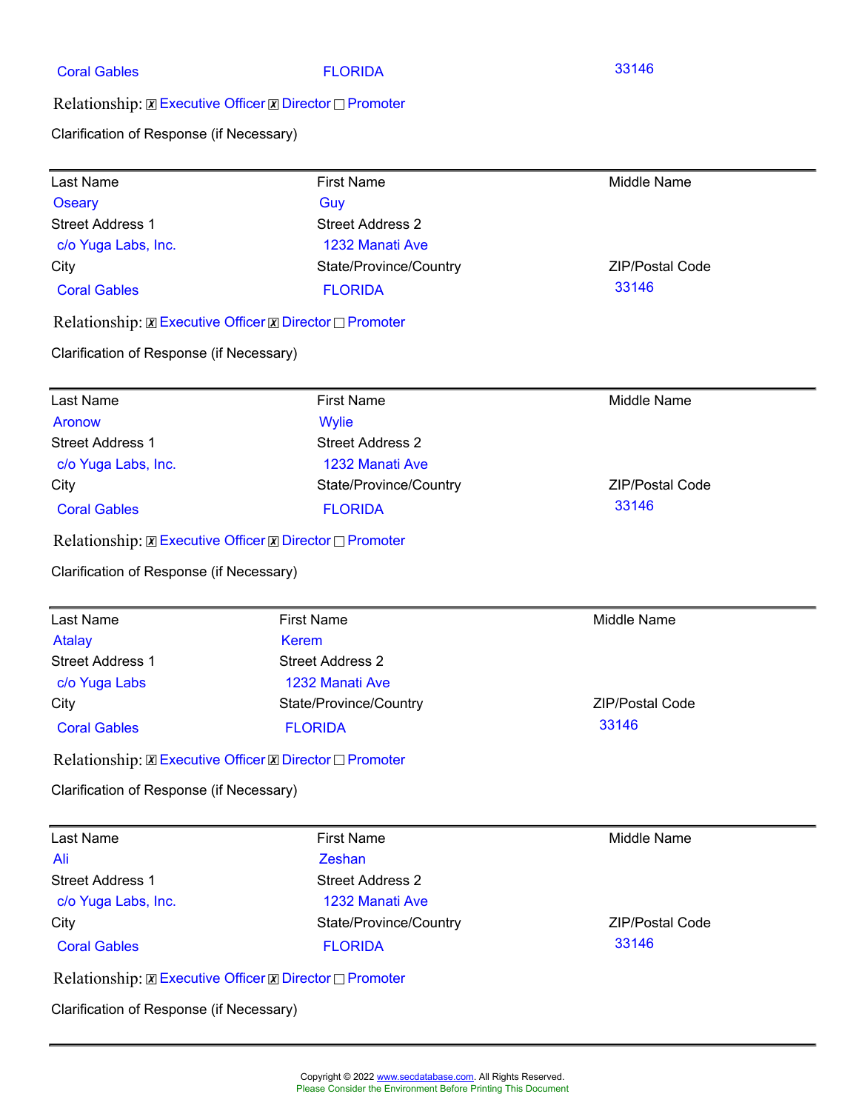| <b>Coral Gables</b> |  |
|---------------------|--|
|                     |  |

FLORIDA 33146

Relationship:☒Executive Officer☒Director☐Promoter

Clarification of Response (if Necessary)

| Last Name                                | <b>First Name</b>                                                     | Middle Name            |
|------------------------------------------|-----------------------------------------------------------------------|------------------------|
| <b>Oseary</b>                            | Guy                                                                   |                        |
| <b>Street Address 1</b>                  | <b>Street Address 2</b>                                               |                        |
| c/o Yuga Labs, Inc.                      | 1232 Manati Ave                                                       |                        |
| City                                     | State/Province/Country                                                | <b>ZIP/Postal Code</b> |
| <b>Coral Gables</b>                      | <b>FLORIDA</b>                                                        | 33146                  |
|                                          | Relationship: <b>Z</b> Executive Officer <b>Z</b> Director □ Promoter |                        |
| Clarification of Response (if Necessary) |                                                                       |                        |
| Last Name                                | <b>First Name</b>                                                     | Middle Name            |
| <b>Aronow</b>                            | <b>Wylie</b>                                                          |                        |
| <b>Street Address 1</b>                  | <b>Street Address 2</b>                                               |                        |
| c/o Yuga Labs, Inc.                      | 1232 Manati Ave                                                       |                        |
| City                                     | State/Province/Country                                                | <b>ZIP/Postal Code</b> |
| <b>Coral Gables</b>                      | <b>FLORIDA</b>                                                        | 33146                  |
|                                          | Relationship: <b>Z</b> Executive Officer <b>Z</b> Director □ Promoter |                        |
| Clarification of Response (if Necessary) |                                                                       |                        |
| Last Name                                | <b>First Name</b>                                                     | <b>Middle Name</b>     |
| <b>Atalay</b>                            | Kerem                                                                 |                        |
| <b>Street Address 1</b>                  | <b>Street Address 2</b>                                               |                        |
| c/o Yuga Labs                            | 1232 Manati Ave                                                       |                        |
| City                                     | State/Province/Country                                                | ZIP/Postal Code        |
| <b>Coral Gables</b>                      | <b>FLORIDA</b>                                                        | 33146                  |
|                                          | Relationship: <b>EXECURICE Officer EX</b> Director <u>Deromoter</u>   |                        |
| Clarification of Response (if Necessary) |                                                                       |                        |
| Last Name                                | <b>First Name</b>                                                     | <b>Middle Name</b>     |
| Ali                                      | Zeshan                                                                |                        |
| <b>Street Address 1</b>                  | <b>Street Address 2</b>                                               |                        |
| c/o Yuga Labs, Inc.                      | 1232 Manati Ave                                                       |                        |
| City                                     | State/Province/Country                                                | <b>ZIP/Postal Code</b> |
| <b>Coral Gables</b>                      |                                                                       | 33146                  |
|                                          | <b>FLORIDA</b>                                                        |                        |
|                                          | Relationship: <b>Z</b> Executive Officer <b>Z</b> Director □ Promoter |                        |
| Clarification of Response (if Necessary) |                                                                       |                        |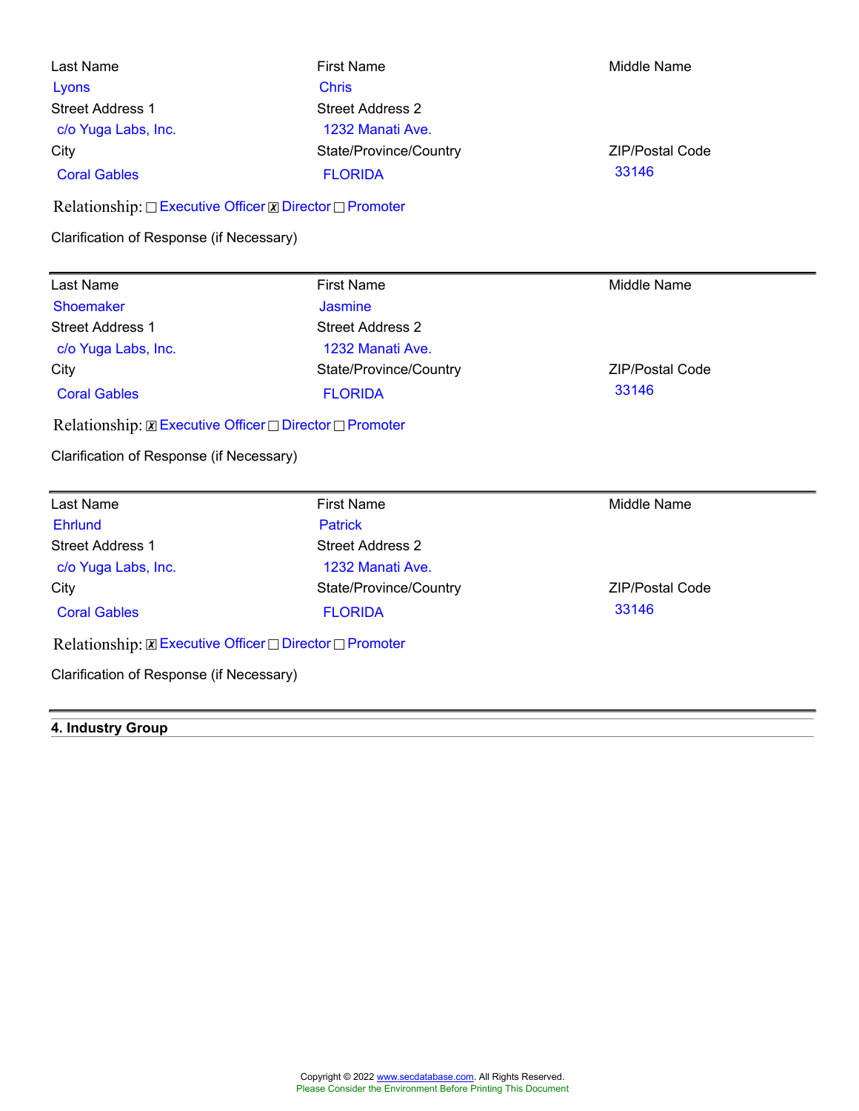| Last Name<br>Lyons<br><b>Street Address 1</b><br>c/o Yuga Labs, Inc. | <b>First Name</b><br><b>Chris</b><br><b>Street Address 2</b><br>1232 Manati Ave. | Middle Name                     |
|----------------------------------------------------------------------|----------------------------------------------------------------------------------|---------------------------------|
| City<br><b>Coral Gables</b>                                          | State/Province/Country<br><b>FLORIDA</b>                                         | <b>ZIP/Postal Code</b><br>33146 |
| Relationship: □ Executive Officer <b>Z</b> Director □ Promoter       |                                                                                  |                                 |
| Clarification of Response (if Necessary)                             |                                                                                  |                                 |
|                                                                      |                                                                                  |                                 |
| Last Name                                                            | <b>First Name</b>                                                                | Middle Name                     |
| <b>Shoemaker</b>                                                     | <b>Jasmine</b>                                                                   |                                 |
| <b>Street Address 1</b>                                              | <b>Street Address 2</b>                                                          |                                 |
| c/o Yuga Labs, Inc.                                                  | 1232 Manati Ave.                                                                 |                                 |
| City                                                                 | State/Province/Country                                                           | <b>ZIP/Postal Code</b>          |
| <b>Coral Gables</b>                                                  | <b>FLORIDA</b>                                                                   | 33146                           |
| Relationship: <b>Z</b> Executive Officer □ Director □ Promoter       |                                                                                  |                                 |

| Last Name                                                                   | <b>First Name</b>       | Middle Name            |
|-----------------------------------------------------------------------------|-------------------------|------------------------|
| <b>Ehrlund</b>                                                              | <b>Patrick</b>          |                        |
| <b>Street Address 1</b>                                                     | <b>Street Address 2</b> |                        |
| c/o Yuga Labs, Inc.                                                         | 1232 Manati Ave.        |                        |
| City                                                                        | State/Province/Country  | <b>ZIP/Postal Code</b> |
| <b>Coral Gables</b>                                                         | <b>FLORIDA</b>          | 33146                  |
| Relationship: $\boxtimes$ Executive Officer $\Box$ Director $\Box$ Promoter |                         |                        |

Clarification of Response (if Necessary)

### **4. Industry Group**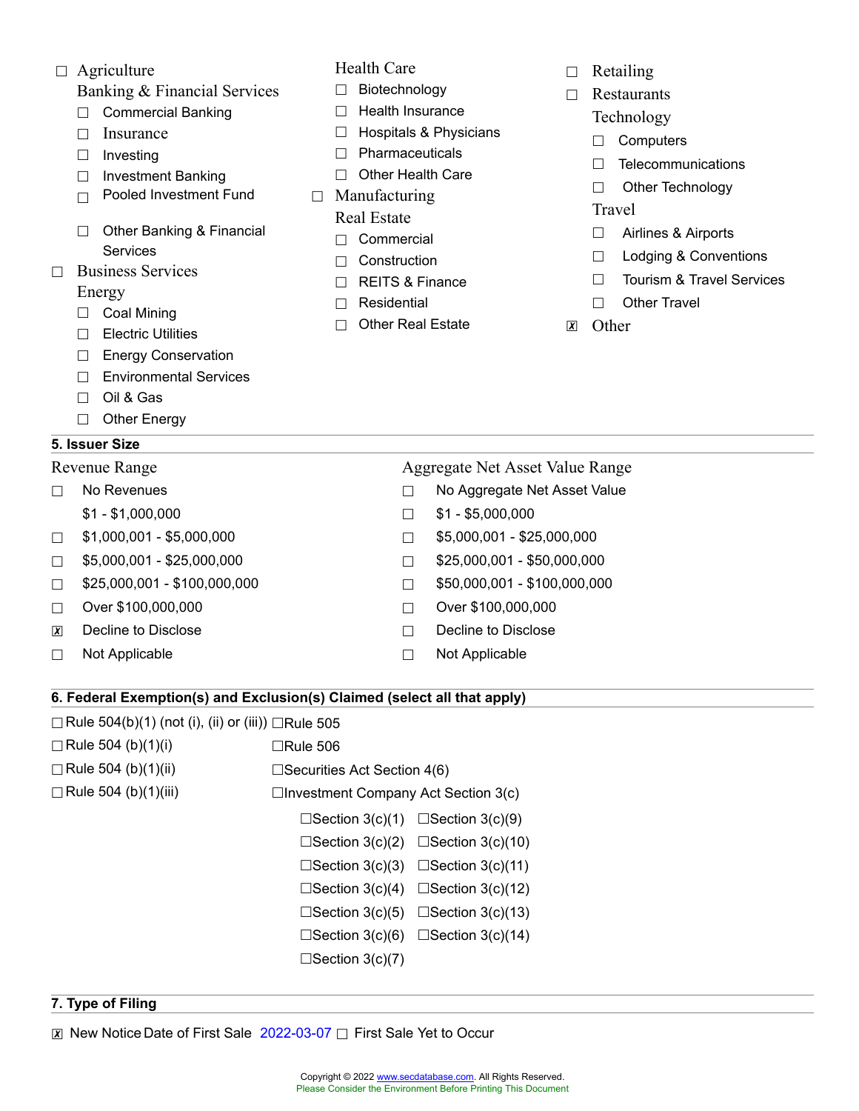- Banking & Financial Services
- ☐ Commercial Banking
- □ Insurance
- ☐ Investing
- ☐ Investment Banking
- ☐ Pooled Investment Fund
- ☐ Other Banking & Financial Services
- ☐ Business Services

#### Energy

- ☐ Coal Mining
- ☐ Electric Utilities
- □ Energy Conservation
- ☐ Environmental Services
- ☐ Oil & Gas
- ☐ Other Energy

#### **5. Issuer Size**

- -
- 
- 
- 
- 
- 
- 

### Health Care

- ☐ Biotechnology
- ☐ Health Insurance
- ☐ Hospitals & Physicians
- ☐ Pharmaceuticals
- ☐ Other Health Care
- $\Box$  Manufacturing Real Estate
	- ☐ Commercial
	- ☐ Construction
	- ☐ REITS & Finance
	- ☐ Residential
	- ☐ Other Real Estate
- □ Retailing
- ☐ Restaurants
	- Technology
	- ☐ Computers
	- ☐ Telecommunications
	- ☐ Other Technology

#### **Travel**

- ☐ Airlines & Airports
- □ Lodging & Conventions
- ☐ Tourism & Travel Services
- □ Other Travel
- ☒ Other

Revenue Range **Aggregate Net Asset Value Range** ☐ No Revenues ☐ No Aggregate Net Asset Value  $$1 - $1,000,000$   $$1 - $5,000,000$  $\Box$  \$1,000,001 - \$5,000,000  $\Box$  \$5,000,001 - \$25,000,000 ☐ \$5,000,001 - \$25,000,000 ☐ \$25,000,001 - \$50,000,000  $\Box$  \$25,000,001 - \$100,000,000  $\Box$  \$50,000,001 - \$100,000,000 ☐ Over \$100,000,000 ☐ Over \$100,000,000 **<del>⊓</b> Decline to Disclose □ □ Decline to Disclose**</del> ☐ Not Applicable ☐ Not Applicable **6. Federal Exemption(s) and Exclusion(s) Claimed (select all that apply)**  $\Box$ Rule 504(b)(1) (not (i), (ii) or (iii))  $\Box$ Rule 505

- $\Box$ Rule 504 (b)(1)(i)  $\Box$ Rule 506 ☐Rule 504 (b)(1)(ii) ☐Securities Act Section 4(6) ☐Rule 504 (b)(1)(iii) ☐Investment Company Act Section 3(c)  $\Box$ Section 3(c)(1)  $\Box$ Section 3(c)(9)  $\Box$ Section 3(c)(2)  $\Box$ Section 3(c)(10)
	- ☐Section 3(c)(3) ☐Section 3(c)(11)
	- $\Box$ Section 3(c)(4)  $\Box$ Section 3(c)(12)
	- □Section 3(c)(5) □Section 3(c)(13)
	- $\Box$ Section 3(c)(6)  $\Box$ Section 3(c)(14)
	- $\square$ Section 3(c)(7)

#### **7. Type of Filing**

⊠ New Notice Date of First Sale 2022-03-07 □ First Sale Yet to Occur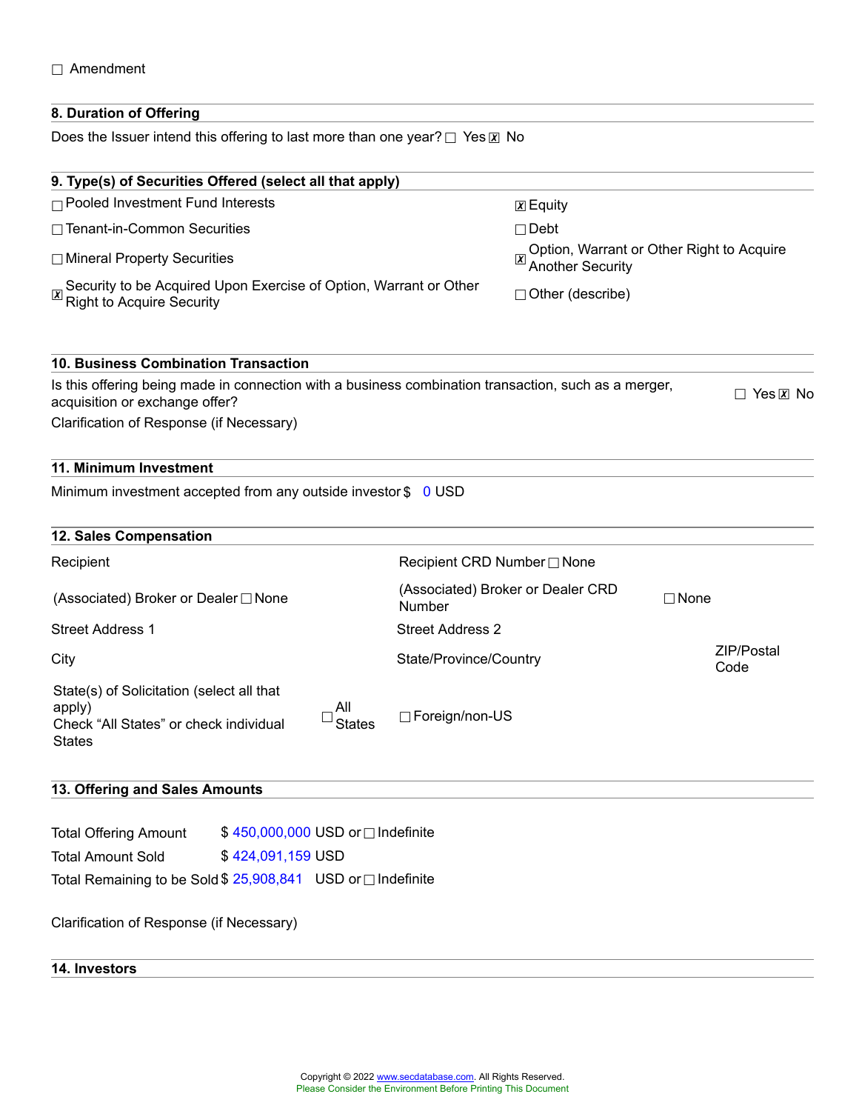#### ☐ Amendment

#### **8. Duration of Offering**

Does the Issuer intend this offering to last more than one year? □ Yes **x** No

| $\chi$ Equity                                                                                |                                                                                                      |  |  |
|----------------------------------------------------------------------------------------------|------------------------------------------------------------------------------------------------------|--|--|
| $\Box$ Debt                                                                                  |                                                                                                      |  |  |
| <b>Another Security</b>                                                                      | Option, Warrant or Other Right to Acquire                                                            |  |  |
| Security to be Acquired Upon Exercise of Option, Warrant or Other<br>$\Box$ Other (describe) |                                                                                                      |  |  |
|                                                                                              |                                                                                                      |  |  |
|                                                                                              | $\Box$ Yes $\overline{x}$ No                                                                         |  |  |
|                                                                                              |                                                                                                      |  |  |
|                                                                                              |                                                                                                      |  |  |
| Minimum investment accepted from any outside investor \$<br>0 USD                            |                                                                                                      |  |  |
|                                                                                              |                                                                                                      |  |  |
| Recipient CRD Number □ None                                                                  |                                                                                                      |  |  |
| (Associated) Broker or Dealer CRD<br>Number                                                  | $\Box$ None                                                                                          |  |  |
| <b>Street Address 2</b>                                                                      |                                                                                                      |  |  |
| State/Province/Country                                                                       | ZIP/Postal<br>Code                                                                                   |  |  |
| □ Foreign/non-US                                                                             |                                                                                                      |  |  |
|                                                                                              | Is this offering being made in connection with a business combination transaction, such as a merger, |  |  |

# **13. Offering and Sales Amounts**

| <b>Total Offering Amount</b>                                 |                   | \$450,000,000 USD or □ Indefinite |
|--------------------------------------------------------------|-------------------|-----------------------------------|
| <b>Total Amount Sold</b>                                     | \$424,091,159 USD |                                   |
| Total Remaining to be Sold \$ 25,908,841 USD or □ Indefinite |                   |                                   |

#### Clarification of Response (if Necessary)

#### **14. Investors**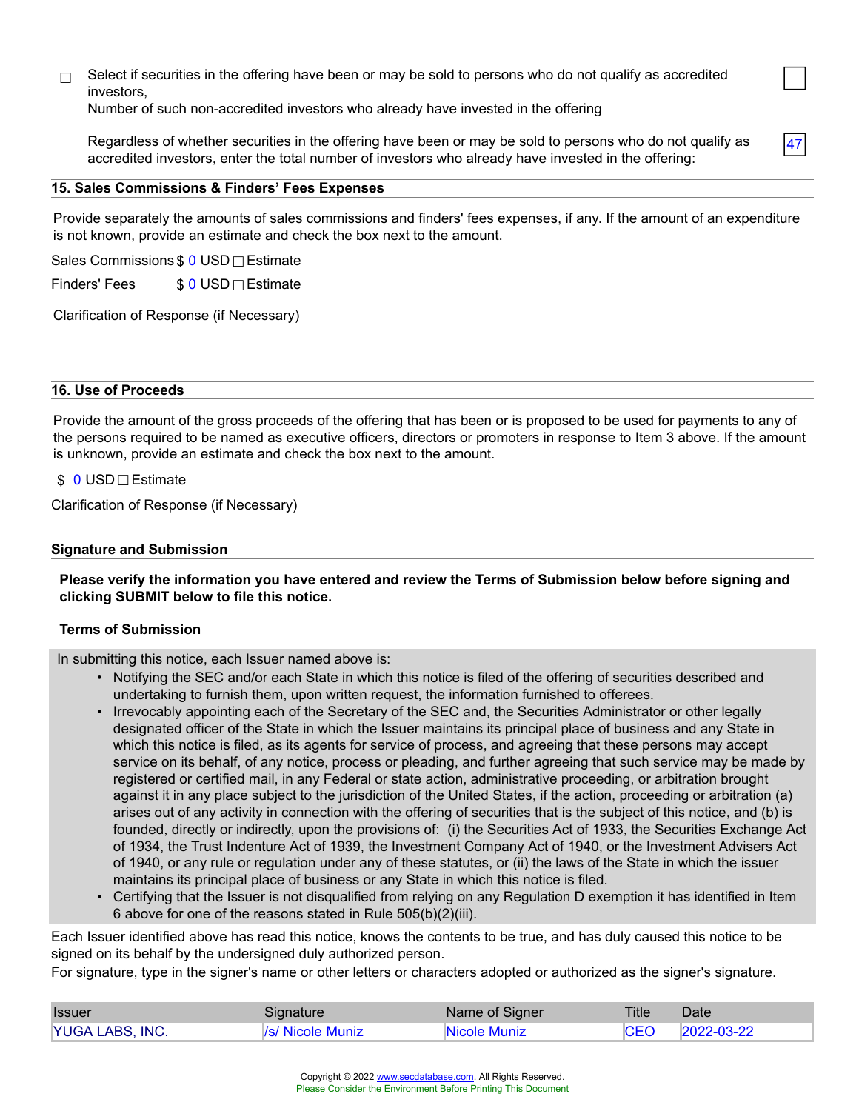$\Box$  Select if securities in the offering have been or may be sold to persons who do not qualify as accredited investors,

Number of such non-accredited investors who already have invested in the offering

Regardless of whether securities in the offering have been or may be sold to persons who do not qualify as accredited investors, enter the total number of investors who already have invested in the offering:

47

#### **15. Sales Commissions & Finders' Fees Expenses**

Provide separately the amounts of sales commissions and finders' fees expenses, if any. If the amount of an expenditure is not known, provide an estimate and check the box next to the amount.

Sales Commissions \$ 0 USD □ Estimate

Finders' Fees  $$0$  USD $\Box$ Estimate

Clarification of Response (if Necessary)

#### **16. Use of Proceeds**

Provide the amount of the gross proceeds of the offering that has been or is proposed to be used for payments to any of the persons required to be named as executive officers, directors or promoters in response to Item 3 above. If the amount is unknown, provide an estimate and check the box next to the amount.

#### \$ 0 USD□Estimate

Clarification of Response (if Necessary)

#### **Signature and Submission**

#### **Please verify the information you have entered and review the Terms of Submission below before signing and clicking SUBMIT below to file this notice.**

#### **Terms of Submission**

In submitting this notice, each Issuer named above is:

- Notifying the SEC and/or each State in which this notice is filed of the offering of securities described and undertaking to furnish them, upon written request, the information furnished to offerees.
- Irrevocably appointing each of the Secretary of the SEC and, the Securities Administrator or other legally designated officer of the State in which the Issuer maintains its principal place of business and any State in which this notice is filed, as its agents for service of process, and agreeing that these persons may accept service on its behalf, of any notice, process or pleading, and further agreeing that such service may be made by registered or certified mail, in any Federal or state action, administrative proceeding, or arbitration brought against it in any place subject to the jurisdiction of the United States, if the action, proceeding or arbitration (a) arises out of any activity in connection with the offering of securities that is the subject of this notice, and (b) is founded, directly or indirectly, upon the provisions of: (i) the Securities Act of 1933, the Securities Exchange Act of 1934, the Trust Indenture Act of 1939, the Investment Company Act of 1940, or the Investment Advisers Act of 1940, or any rule or regulation under any of these statutes, or (ii) the laws of the State in which the issuer maintains its principal place of business or any State in which this notice is filed.
- Certifying that the Issuer is not disqualified from relying on any Regulation D exemption it has identified in Item 6 above for one of the reasons stated in Rule 505(b)(2)(iii).

Each Issuer identified above has read this notice, knows the contents to be true, and has duly caused this notice to be signed on its behalf by the undersigned duly authorized person.

For signature, type in the signer's name or other letters or characters adopted or authorized as the signer's signature.

| <b>Issuer</b>   | Signature                      | Name of Signer | Title       | Date       |
|-----------------|--------------------------------|----------------|-------------|------------|
| YUGA LABS, INC. | <i><b>Vs/ Nicole Muniz</b></i> | Nicole Muniz   | <b>ICEO</b> | 2022-03-22 |